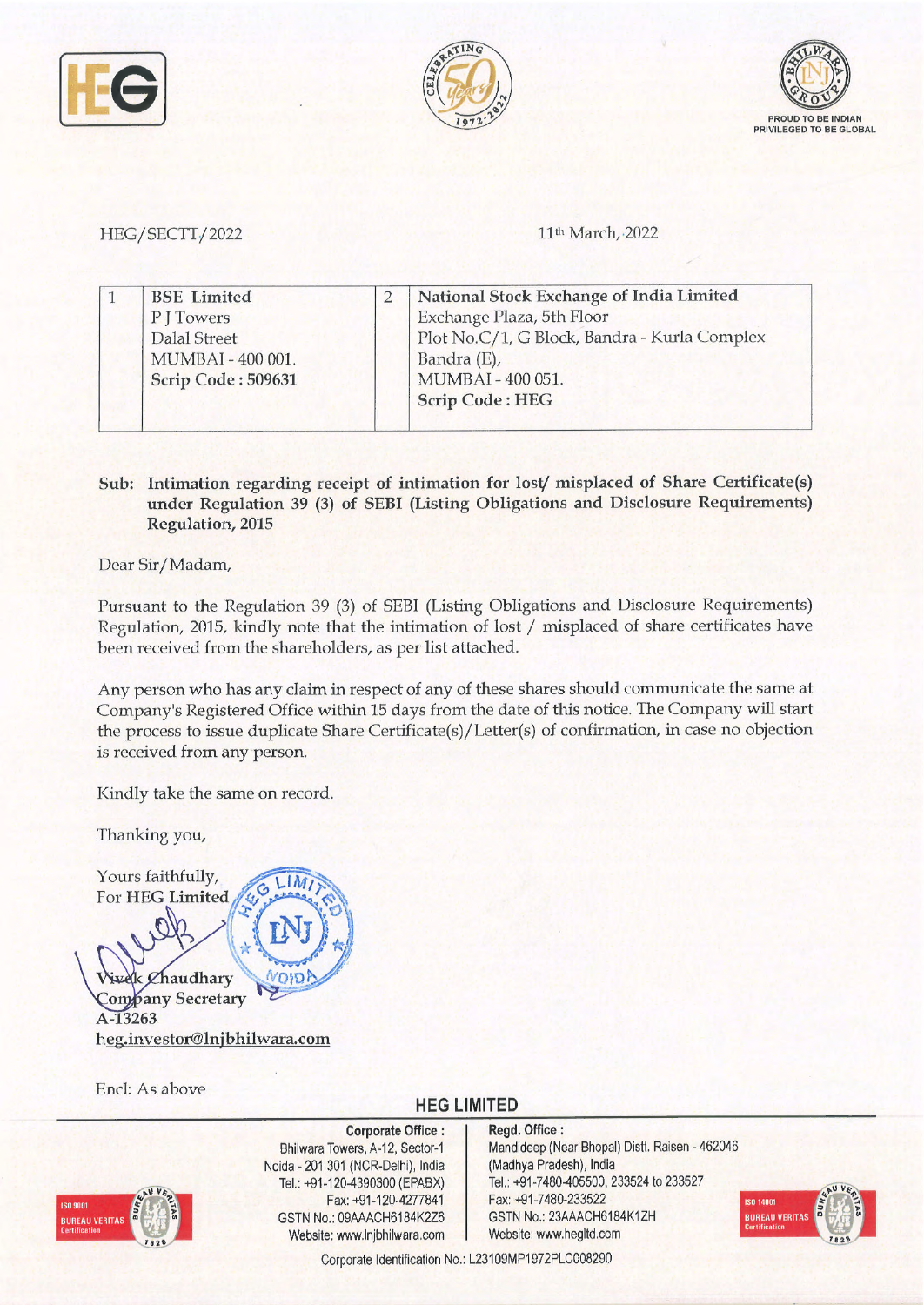





## HEG / SECTT / 2022

11<sup>th</sup> March, 2022

| <b>BSE</b> Limited | National Stock Exchange of India Limited     |
|--------------------|----------------------------------------------|
| P J Towers         | Exchange Plaza, 5th Floor                    |
| Dalal Street       | Plot No.C/1, G Block, Bandra - Kurla Complex |
| MUMBAI - 400 001.  | Bandra (E),                                  |
| Scrip Code: 509631 | MUMBAI-400 051.                              |
|                    | <b>Scrip Code: HEG</b>                       |

## **Sub: Intimation regarding receipt of intimation for lost/ misplaced of Share Certificate(s) under Regulation 39 (3) of SEBI (Listing Obligations and Disclosure Requirements) Regulation, 2015**

Dear Sir/Madam,

Pursuant to the Regulation 39 (3) of SEBI (Listing Obligations and Disclosure Requirements) Regulation, 2015, kindly note that the intimation of lost/ misplaced of share certificates have been received from the shareholders, as per list attached.

Any person who has any claim in respect of any of these shares should communicate the same at Company's Registered Office within 15 days from the date of this notice. The Company will start the process to issue duplicate Share Certificate(s)/Letter(s) of confirmation, in case no objection is received from any person.

Kindly take the same on record.

Thanking you,

Yours faithfully,

Chaudhary **OlD.~** , **Company Secretary** A-13263 **heg.investor@lnjbhilwara.com** 

Encl: As above

## **HEG LIMITED**



**Corporate Office** : Bhilwara Towers, A-12, Sector-1 Noida - 201 301 {NCR-Delhi), India Tel.: +91-120-4390300 {EPABX) Fax: +91-120-4277841 GSTN No.: 09AAACH6184K2Z6 Website: www.lnjbhilwara.com | Website: www.hegltd.com

**l t** 

> **Regd. Office** : Mandideep {Near Bhopal) Dist!. Raisen - 462046 {Madhya Pradesh), India Tel.: +91-7480-405500, 233524 to 233527 Fax: +91-7480-233522 GSTN No.: 23AAACH6184K1ZH